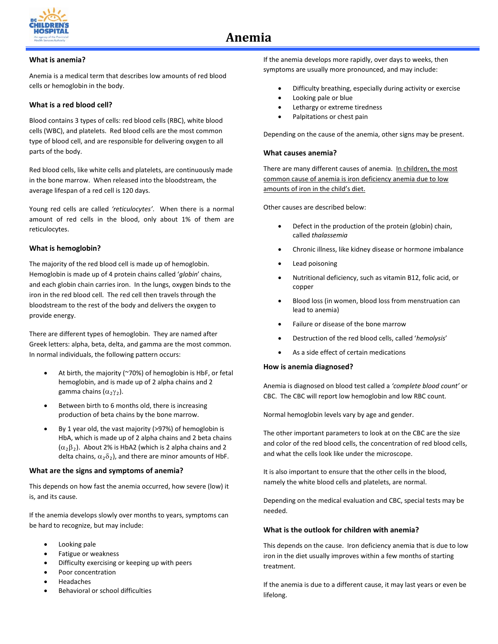

## **What is anemia?**

Anemia is a medical term that describes low amounts of red blood cells or hemoglobin in the body.

## **What is a red blood cell?**

Blood contains 3 types of cells: red blood cells (RBC), white blood cells (WBC), and platelets. Red blood cells are the most common type of blood cell, and are responsible for delivering oxygen to all parts of the body.

Red blood cells, like white cells and platelets, are continuously made in the bone marrow. When released into the bloodstream, the average lifespan of a red cell is 120 days.

Young red cells are called *'reticulocytes'*. When there is a normal amount of red cells in the blood, only about 1% of them are reticulocytes.

# **What is hemoglobin?**

The majority of the red blood cell is made up of hemoglobin. Hemoglobin is made up of 4 protein chains called '*globin*' chains, and each globin chain carries iron. In the lungs, oxygen binds to the iron in the red blood cell. The red cell then travels through the bloodstream to the rest of the body and delivers the oxygen to provide energy.

There are different types of hemoglobin. They are named after Greek letters: alpha, beta, delta, and gamma are the most common. In normal individuals, the following pattern occurs:

- At birth, the majority (~70%) of hemoglobin is HbF, or fetal hemoglobin, and is made up of 2 alpha chains and 2 gamma chains  $(α<sub>2</sub>γ<sub>2</sub>)$ .
- Between birth to 6 months old, there is increasing production of beta chains by the bone marrow.
- By 1 year old, the vast majority (>97%) of hemoglobin is HbA, which is made up of 2 alpha chains and 2 beta chains  $(\alpha_2\beta_2)$ . About 2% is HbA2 (which is 2 alpha chains and 2 delta chains,  $\alpha_2\delta_2$ ), and there are minor amounts of HbF.

### **What are the signs and symptoms of anemia?**

This depends on how fast the anemia occurred, how severe (low) it is, and its cause.

If the anemia develops slowly over months to years, symptoms can be hard to recognize, but may include:

- Looking pale
- Fatigue or weakness
- Difficulty exercising or keeping up with peers
- Poor concentration
- **Headaches**
- Behavioral or school difficulties

If the anemia develops more rapidly, over days to weeks, then symptoms are usually more pronounced, and may include:

- Difficulty breathing, especially during activity or exercise
- Looking pale or blue
- Lethargy or extreme tiredness
- Palpitations or chest pain

Depending on the cause of the anemia, other signs may be present.

#### **What causes anemia?**

There are many different causes of anemia. In children, the most common cause of anemia is iron deficiency anemia due to low amounts of iron in the child's diet.

Other causes are described below:

- Defect in the production of the protein (globin) chain, called *thalassemia*
- Chronic illness, like kidney disease or hormone imbalance
- Lead poisoning
- Nutritional deficiency, such as vitamin B12, folic acid, or copper
- Blood loss (in women, blood loss from menstruation can lead to anemia)
- Failure or disease of the bone marrow
- Destruction of the red blood cells, called '*hemolysis*'
- As a side effect of certain medications

### **How is anemia diagnosed?**

Anemia is diagnosed on blood test called a *'complete blood count'* or CBC. The CBC will report low hemoglobin and low RBC count.

Normal hemoglobin levels vary by age and gender.

The other important parameters to look at on the CBC are the size and color of the red blood cells, the concentration of red blood cells, and what the cells look like under the microscope.

It is also important to ensure that the other cells in the blood, namely the white blood cells and platelets, are normal.

Depending on the medical evaluation and CBC, special tests may be needed.

### **What is the outlook for children with anemia?**

This depends on the cause. Iron deficiency anemia that is due to low iron in the diet usually improves within a few months of starting treatment.

If the anemia is due to a different cause, it may last years or even be lifelong.